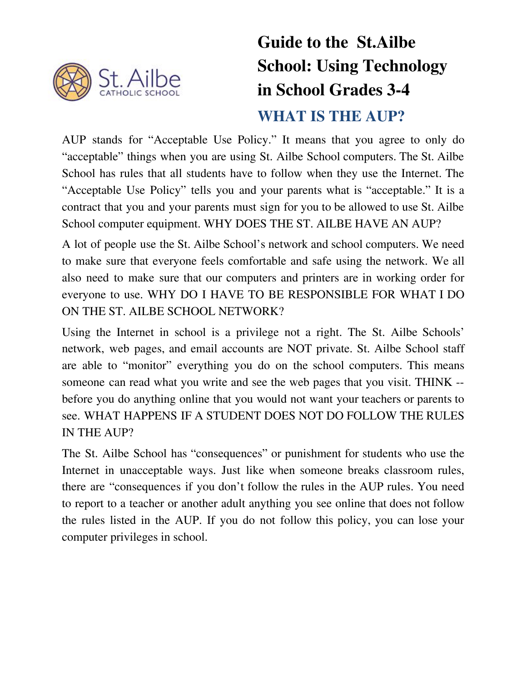

# **Guide to the St.Ailbe School: Using Technology in School Grades 3-4 WHAT IS THE AUP?**

AUP stands for "Acceptable Use Policy." It means that you agree to only do "acceptable" things when you are using St. Ailbe School computers. The St. Ailbe School has rules that all students have to follow when they use the Internet. The "Acceptable Use Policy" tells you and your parents what is "acceptable." It is a contract that you and your parents must sign for you to be allowed to use St. Ailbe School computer equipment. WHY DOES THE ST. AILBE HAVE AN AUP?

A lot of people use the St. Ailbe School's network and school computers. We need to make sure that everyone feels comfortable and safe using the network. We all also need to make sure that our computers and printers are in working order for everyone to use. WHY DO I HAVE TO BE RESPONSIBLE FOR WHAT I DO ON THE ST. AILBE SCHOOL NETWORK?

Using the Internet in school is a privilege not a right. The St. Ailbe Schools' network, web pages, and email accounts are NOT private. St. Ailbe School staff are able to "monitor" everything you do on the school computers. This means someone can read what you write and see the web pages that you visit. THINK - before you do anything online that you would not want your teachers or parents to see. WHAT HAPPENS IF A STUDENT DOES NOT DO FOLLOW THE RULES IN THE AUP?

The St. Ailbe School has "consequences" or punishment for students who use the Internet in unacceptable ways. Just like when someone breaks classroom rules, there are "consequences if you don't follow the rules in the AUP rules. You need to report to a teacher or another adult anything you see online that does not follow the rules listed in the AUP. If you do not follow this policy, you can lose your computer privileges in school.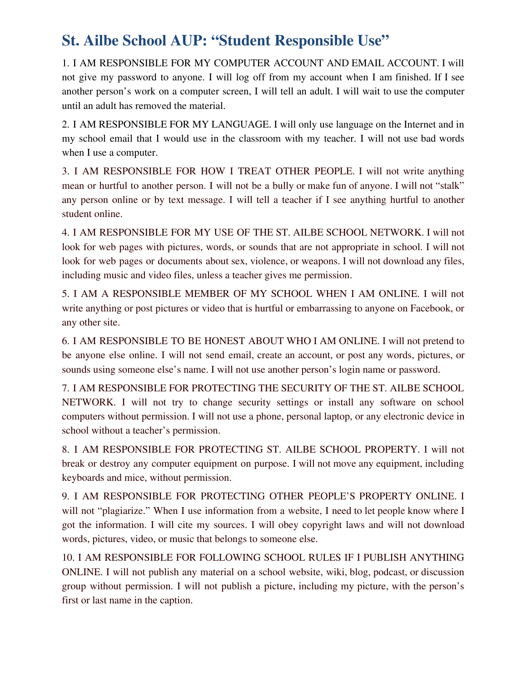### **St. Ailbe School AUP: "Student Responsible Use"**

1. I AM RESPONSIBLE FOR MY COMPUTER ACCOUNT AND EMAIL ACCOUNT. I will not give my password to anyone. I will log off from my account when I am finished. If I see another person's work on a computer screen, I will tell an adult. I will wait to use the computer until an adult has removed the material.

2. I AM RESPONSIBLE FOR MY LANGUAGE. I will only use language on the Internet and in my school email that I would use in the classroom with my teacher. I will not use bad words when I use a computer.

3. I AM RESPONSIBLE FOR HOW I TREAT OTHER PEOPLE. I will not write anything mean or hurtful to another person. I will not be a bully or make fun of anyone. I will not "stalk" any person online or by text message. I will tell a teacher if I see anything hurtful to another student online.

4. I AM RESPONSIBLE FOR MY USE OF THE ST. AILBE SCHOOL NETWORK. I will not look for web pages with pictures, words, or sounds that are not appropriate in school. I will not look for web pages or documents about sex, violence, or weapons. I will not download any files, including music and video files, unless a teacher gives me permission.

5. I AM A RESPONSIBLE MEMBER OF MY SCHOOL WHEN I AM ONLINE. I will not write anything or post pictures or video that is hurtful or embarrassing to anyone on Facebook, or any other site.

6. I AM RESPONSIBLE TO BE HONEST ABOUT WHO I AM ONLINE. I will not pretend to be anyone else online. I will not send email, create an account, or post any words, pictures, or sounds using someone else's name. I will not use another person's login name or password.

7. I AM RESPONSIBLE FOR PROTECTING THE SECURITY OF THE ST. AILBE SCHOOL NETWORK. I will not try to change security settings or install any software on school computers without permission. I will not use a phone, personal laptop, or any electronic device in school without a teacher's permission.

8. I AM RESPONSIBLE FOR PROTECTING ST. AILBE SCHOOL PROPERTY. I will not break or destroy any computer equipment on purpose. I will not move any equipment, including keyboards and mice, without permission.

9. I AM RESPONSIBLE FOR PROTECTING OTHER PEOPLE'S PROPERTY ONLINE. I will not "plagiarize." When I use information from a website, I need to let people know where I got the information. I will cite my sources. I will obey copyright laws and will not download words, pictures, video, or music that belongs to someone else.

10. I AM RESPONSIBLE FOR FOLLOWING SCHOOL RULES IF I PUBLISH ANYTHING ONLINE. I will not publish any material on a school website, wiki, blog, podcast, or discussion group without permission. I will not publish a picture, including my picture, with the person's first or last name in the caption.